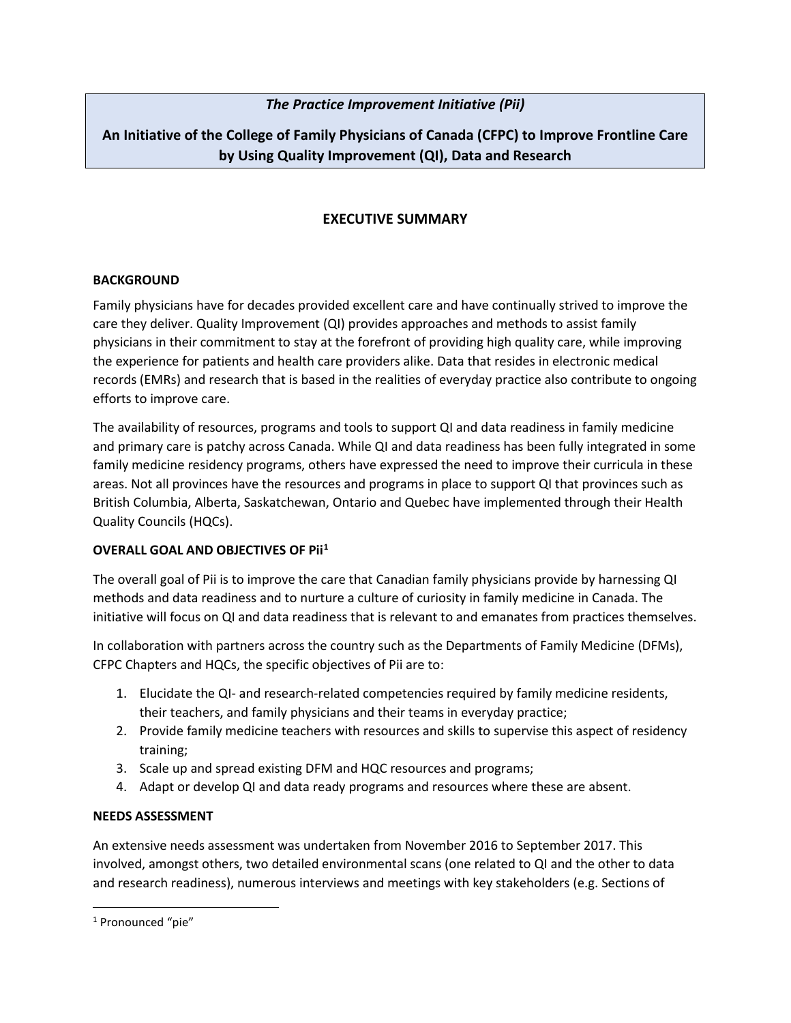# *The Practice Improvement Initiative (Pii)*

# **An Initiative of the College of Family Physicians of Canada (CFPC) to Improve Frontline Care by Using Quality Improvement (QI), Data and Research**

# **EXECUTIVE SUMMARY**

### **BACKGROUND**

Family physicians have for decades provided excellent care and have continually strived to improve the care they deliver. Quality Improvement (QI) provides approaches and methods to assist family physicians in their commitment to stay at the forefront of providing high quality care, while improving the experience for patients and health care providers alike. Data that resides in electronic medical records (EMRs) and research that is based in the realities of everyday practice also contribute to ongoing efforts to improve care.

The availability of resources, programs and tools to support QI and data readiness in family medicine and primary care is patchy across Canada. While QI and data readiness has been fully integrated in some family medicine residency programs, others have expressed the need to improve their curricula in these areas. Not all provinces have the resources and programs in place to support QI that provinces such as British Columbia, Alberta, Saskatchewan, Ontario and Quebec have implemented through their Health Quality Councils (HQCs).

## **OVERALL GOAL AND OBJECTIVES OF Pii[1](#page-0-0)**

The overall goal of Pii is to improve the care that Canadian family physicians provide by harnessing QI methods and data readiness and to nurture a culture of curiosity in family medicine in Canada. The initiative will focus on QI and data readiness that is relevant to and emanates from practices themselves.

In collaboration with partners across the country such as the Departments of Family Medicine (DFMs), CFPC Chapters and HQCs, the specific objectives of Pii are to:

- 1. Elucidate the QI- and research-related competencies required by family medicine residents, their teachers, and family physicians and their teams in everyday practice;
- 2. Provide family medicine teachers with resources and skills to supervise this aspect of residency training;
- 3. Scale up and spread existing DFM and HQC resources and programs;
- 4. Adapt or develop QI and data ready programs and resources where these are absent.

#### **NEEDS ASSESSMENT**

An extensive needs assessment was undertaken from November 2016 to September 2017. This involved, amongst others, two detailed environmental scans (one related to QI and the other to data and research readiness), numerous interviews and meetings with key stakeholders (e.g. Sections of

<span id="page-0-0"></span><sup>&</sup>lt;sup>1</sup> Pronounced "pie"